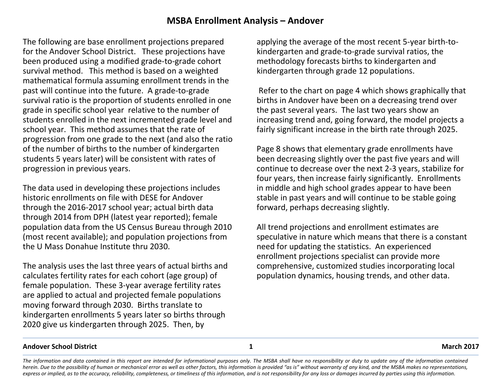# **MSBA Enrollment Analysis – Andover**

The following are base enrollment projections prepared for the Andover School District. These projections have been produced using a modified grade-to-grade cohort survival method. This method is based on a weighted mathematical formula assuming enrollment trends in the past will continue into the future. A grade-to-grade survival ratio is the proportion of students enrolled in one grade in specific school year relative to the number of students enrolled in the next incremented grade level and school year. This method assumes that the rate of progression from one grade to the next (and also the ratio of the number of births to the number of kindergarten students 5 years later) will be consistent with rates of progression in previous years.

The data used in developing these projections includes historic enrollments on file with DESE for Andover through the 2016-2017 school year; actual birth data through 2014 from DPH (latest year reported); female population data from the US Census Bureau through 2010 (most recent available); and population projections from the U Mass Donahue Institute thru 2030.

The analysis uses the last three years of actual births and calculates fertility rates for each cohort (age group) of female population. These 3-year average fertility rates are applied to actual and projected female populations moving forward through 2030. Births translate to kindergarten enrollments 5 years later so births through 2020 give us kindergarten through 2025. Then, by

applying the average of the most recent 5-year birth-tokindergarten and grade-to-grade survival ratios, the methodology forecasts births to kindergarten and kindergarten through grade 12 populations.

Refer to the chart on page 4 which shows graphically that births in Andover have been on a decreasing trend over the past several years. The last two years show an increasing trend and, going forward, the model projects a fairly significant increase in the birth rate through 2025.

Page 8 shows that elementary grade enrollments have been decreasing slightly over the past five years and will continue to decrease over the next 2-3 years, stabilize for four years, then increase fairly significantly. Enrollments in middle and high school grades appear to have been stable in past years and will continue to be stable going forward, perhaps decreasing slightly.

All trend projections and enrollment estimates are speculative in nature which means that there is a constant need for updating the statistics. An experienced enrollment projections specialist can provide more comprehensive, customized studies incorporating local population dynamics, housing trends, and other data.

#### **Andover School District 1 March 2017**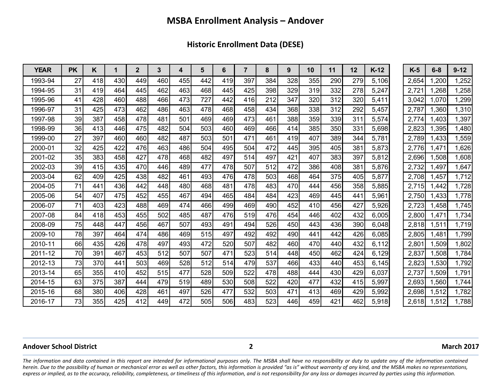**Historic Enrollment Data (DESE)**

| <b>YEAR</b> | <b>PK</b> | Κ   | 1   | $\overline{2}$ | 3   | 4   | 5   | 6   | $\overline{7}$ | 8   | 9   | 10  | 11  | 12  | $K-12$ | $K-5$ | $6 - 8$ | $9 - 12$ |
|-------------|-----------|-----|-----|----------------|-----|-----|-----|-----|----------------|-----|-----|-----|-----|-----|--------|-------|---------|----------|
| 1993-94     | 27        | 418 | 430 | 449            | 460 | 455 | 442 | 419 | 397            | 384 | 328 | 355 | 290 | 279 | 5,106  | 2,654 | ,200    | 1,252    |
| 1994-95     | 31        | 419 | 464 | 445            | 462 | 463 | 468 | 445 | 425            | 398 | 329 | 319 | 332 | 278 | 5,247  | 2,721 | .268    | 1,258    |
| 1995-96     | 41        | 428 | 460 | 488            | 466 | 473 | 727 | 442 | 416            | 212 | 347 | 320 | 312 | 320 | 5,411  | 3,042 | 1,070   | 1,299    |
| 1996-97     | 31        | 425 | 473 | 462            | 486 | 463 | 478 | 468 | 458            | 434 | 368 | 338 | 312 | 292 | 5,457  | 2,787 | .360    | 1,310    |
| 1997-98     | 39        | 387 | 458 | 478            | 481 | 501 | 469 | 469 | 473            | 461 | 388 | 359 | 339 | 311 | 5,574  | 2,774 | .403    | 1,397    |
| 1998-99     | 36        | 413 | 446 | 475            | 482 | 504 | 503 | 460 | 469            | 466 | 414 | 385 | 350 | 331 | 5,698  | 2,823 | ,395    | 1,480    |
| 1999-00     | 27        | 397 | 460 | 460            | 482 | 487 | 503 | 501 | 471            | 461 | 419 | 407 | 389 | 344 | 5,781  | 2,789 | 1,433   | 1,559    |
| 2000-01     | 32        | 425 | 422 | 476            | 463 | 486 | 504 | 495 | 504            | 472 | 445 | 395 | 405 | 381 | 5,873  | 2,776 | 1,471   | 1,626    |
| 2001-02     | 35        | 383 | 458 | 427            | 478 | 468 | 482 | 497 | 514            | 497 | 421 | 407 | 383 | 397 | 5,812  | 2,696 | 1,508   | 1,608    |
| 2002-03     | 39        | 415 | 435 | 470            | 446 | 489 | 477 | 478 | 507            | 512 | 472 | 386 | 408 | 381 | 5,876  | 2,732 | 1,497   | 1,647    |
| 2003-04     | 62        | 409 | 425 | 438            | 482 | 461 | 493 | 476 | 478            | 503 | 468 | 464 | 375 | 405 | 5,877  | 2,708 | 1,457   | 1,712    |
| 2004-05     | 71        | 441 | 436 | 442            | 448 | 480 | 468 | 481 | 478            | 483 | 470 | 444 | 456 | 358 | 5,885  | 2,715 | 1,442   | 1,728    |
| 2005-06     | 54        | 407 | 475 | 452            | 455 | 467 | 494 | 465 | 484            | 484 | 423 | 469 | 445 | 441 | 5,961  | 2,750 | 1,433   | 1,778    |
| 2006-07     | 71        | 403 | 423 | 488            | 469 | 474 | 466 | 499 | 469            | 490 | 452 | 410 | 456 | 427 | 5,926  | 2,723 | 1,458   | 1,745    |
| 2007-08     | 84        | 418 | 453 | 455            | 502 | 485 | 487 | 476 | 519            | 476 | 454 | 446 | 402 | 432 | 6,005  | 2,800 | 1,471   | 1,734    |
| 2008-09     | 75        | 448 | 447 | 456            | 467 | 507 | 493 | 491 | 494            | 526 | 450 | 443 | 436 | 390 | 6,048  | 2,818 | 1,511   | 1,719    |
| 2009-10     | 78        | 397 | 464 | 474            | 486 | 469 | 515 | 497 | 492            | 492 | 490 | 441 | 442 | 426 | 6,085  | 2,805 | 1,481   | 1,799    |
| 2010-11     | 66        | 435 | 426 | 478            | 497 | 493 | 472 | 520 | 507            | 482 | 460 | 470 | 440 | 432 | 6,112  | 2,801 | 1,509   | 1,802    |
| 2011-12     | 70        | 391 | 467 | 453            | 512 | 507 | 507 | 471 | 523            | 514 | 448 | 450 | 462 | 424 | 6,129  | 2,837 | 1,508   | 1,784    |
| 2012-13     | 73        | 370 | 441 | 503            | 469 | 528 | 512 | 514 | 479            | 537 | 466 | 433 | 440 | 453 | 6,145  | 2,823 | 1,530   | 1,792    |
| 2013-14     | 65        | 355 | 410 | 452            | 515 | 477 | 528 | 509 | 522            | 478 | 488 | 444 | 430 | 429 | 6,037  | 2,737 | ,509    | 1,791    |
| 2014-15     | 63        | 375 | 387 | 444            | 479 | 519 | 489 | 530 | 508            | 522 | 420 | 477 | 432 | 415 | 5,997  | 2,693 | .560    | 1,744    |
| 2015-16     | 68        | 380 | 406 | 428            | 461 | 497 | 526 | 477 | 532            | 503 | 471 | 413 | 469 | 429 | 5,992  | 2,698 | .512    | 1,782    |
| 2016-17     | 73        | 355 | 425 | 412            | 449 | 472 | 505 | 506 | 483            | 523 | 446 | 459 | 421 | 462 | 5,918  | 2.618 | .512    | 1,788    |

#### **Andover School District 2 March 2017**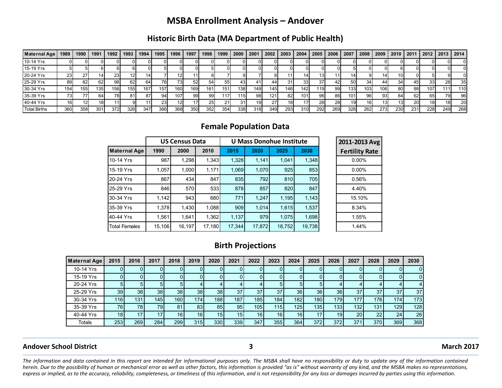# **MSBA Enrollment Analysis – Andover**

### **Historic Birth Data (MA Department of Public Health)**

| Maternal Age        | 1989 | 1990 | 1991             | 1992 | 1993 | 1994 | 1995 | 1996 | 1997            | 1998 | 1999 | 2000             | 2001 | 2002            | 2003            | 2004 | 2005 | 2006 | 2007 | 2008 | 2009 | 2010 | 2011      | 2012 | 2013      | 2014             |
|---------------------|------|------|------------------|------|------|------|------|------|-----------------|------|------|------------------|------|-----------------|-----------------|------|------|------|------|------|------|------|-----------|------|-----------|------------------|
| 10-14 Yrs           |      |      |                  |      |      |      |      |      |                 |      |      |                  |      |                 |                 |      |      |      |      |      |      |      |           |      |           |                  |
| 15-19 Yrs           |      |      |                  |      |      |      |      |      |                 |      |      |                  |      |                 |                 |      |      |      |      |      |      |      |           |      |           |                  |
| 20-24 Yrs           | 231  |      |                  | 23   |      |      |      | 12I  |                 |      |      |                  |      |                 |                 |      |      |      |      |      |      |      |           |      |           |                  |
| 25-29 Yrs           | 89   | 821  | 62               | 98   | 62   | 64.  | 76 I | 731  | 52 <sub>l</sub> | 54   | 55   |                  |      | 44              | 31 <sub>1</sub> | 33   | 37   | 421  | 50   | 34   | 44   | 34   | 45        | 331  | <b>28</b> | 35 <sub>l</sub>  |
| 30-34 Yrs           | 154  | 155  | 135 <sub>1</sub> | 156  | 155  | 167  | 157  | 160  | 169             | 161  | 151  | 138              | 149  | 1451            | 146l            | 142  | 119  | -99  | 133  | 103  | 106  | 80   | 98        | 107  | 111       | 110 <sub>1</sub> |
| 35-39 Yrs           | 73.  |      | 64               | 781  | 81   |      | 941  | 107  | 991             | -991 | 117  | 115 <sub>1</sub> | -981 | 121.            | 82              | 101  | 96   | 861  | 101  | 961  | 931  | 84   | 62        | 65   | 79        | 96               |
| 40-44 Yrs           | 161  |      |                  |      |      |      | 231  | 121  | 17I             | 25   | 21   | 31 <sub>1</sub>  | 191  | 27 <sub>1</sub> | 18              | 17   | 26   | 281  | 19   | 16   | 131  | 13   | <b>20</b> | 18I  | 18        | 20               |
| <b>Total Births</b> | 360  | 358  | 301              | 372  | 326I | 347  | 366  | 368  | 350             | 352  | 354  | 338              | 318  | 349             | 293             | 310  | 292  | 269  | 326  | 262  | 273  | 230  | 231       | 228  | 249       | 268              |

### **Female Population Data**

|                      |        | <b>US Census Data</b> |        |        | <b>U Mass Donohue Institute</b> | 2011-2013 Avg |        |                       |
|----------------------|--------|-----------------------|--------|--------|---------------------------------|---------------|--------|-----------------------|
| <b>Maternal Age</b>  | 1990   | 2000                  | 2010   | 2015   | 2020                            | 2025          | 2030   | <b>Fertility Rate</b> |
| 10-14 Yrs            | 987    | 1,298                 | 1,343  | 1,328  | 1,141                           | 1,041         | 1,348  | $0.00\%$              |
| 15-19 Yrs            | 1.057  | 1.000                 | 1,171  | 1,069  | 1,070                           | 925           | 853    | $0.00\%$              |
| 20-24 Yrs            | 867    | 434                   | 847    | 835    | 792                             | 810           | 705    | 0.56%                 |
| 25-29 Yrs            | 846    | 570                   | 533    | 878    | 857                             | 820           | 847    | 4.40%                 |
| 30-34 Yrs            | 1,142  | 943                   | 680    | 771    | 1.247                           | 1,195         | 1,143  | 15.10%                |
| 35-39 Yrs            | 1,378  | 1,430                 | 1,088  | 909    | 1.014                           | 1,615         | 1,537  | 8.34%                 |
| 40-44 Yrs            | 1.561  | 1.641                 | 1.362  | 1.137  | 979                             | 1.075         | 1,698  | 1.55%                 |
| <b>Total Females</b> | 15,106 | 16,197                | 17,180 | 17,344 | 17,872                          | 18,752        | 19,738 | 1.44%                 |

### **Birth Projections**

| <b>Maternal Age</b> | 2015            | 2016            | 2017            | 2018 | 2019            | 2020            | 2021 | 2022 | 2023             | 2024             | 2025            | 2026            | 2027            | 2028             | 2029 | 2030         |
|---------------------|-----------------|-----------------|-----------------|------|-----------------|-----------------|------|------|------------------|------------------|-----------------|-----------------|-----------------|------------------|------|--------------|
| 10-14 Yrs           |                 |                 |                 |      | 01              |                 |      |      |                  |                  |                 |                 |                 |                  |      | <sup>0</sup> |
| 15-19 Yrs           |                 | 01              |                 |      | 01              |                 |      |      |                  |                  |                 |                 |                 |                  |      | $\Omega$     |
| 20-24 Yrs           |                 | 51              |                 |      | 4               |                 |      |      |                  |                  |                 |                 |                 |                  |      |              |
| 25-29 Yrs           | 39 <sup>1</sup> | 38 <sup>l</sup> | 38 <sub>1</sub> | 38 l | 38 <sup>1</sup> | 38              | 37   | 37   | 37               | 36 <sup>1</sup>  | 36 <sub>l</sub> | 36              | 37              | 37               | 37   | 37           |
| 30-34 Yrs           | 116             | 131.            | 145             | 160  | 174             | 188             | 187  | 185  | 184 <sub>1</sub> | 182 <sub>1</sub> | 180             | 179             | 177             | 176              | 174  | 173          |
| 35-39 Yrs           | 76              | 781             | 79              | 81   | 83              | 85              | 95   | 105  | 115              | 125              | 135             | 133             | 132             | 131 <sub>1</sub> | 129  | 128          |
| 40-44 Yrs           | 18 <sub>1</sub> | 171             | 17              | 16   | 16              | 15 <sub>l</sub> | 15   | 16   | 16 <sub>1</sub>  | 16 <sub>1</sub>  |                 | 19 <sup>1</sup> | 20              | 22               | 24   | 26           |
| Totals              | 253             | 269             | 284             | 299  | 315             | 330             | 339  | 347  | 355              | 364              | 372             | 372             | 37 <sup>′</sup> | 370              | 369  | 368          |

#### **Andover School District 3 March 2017**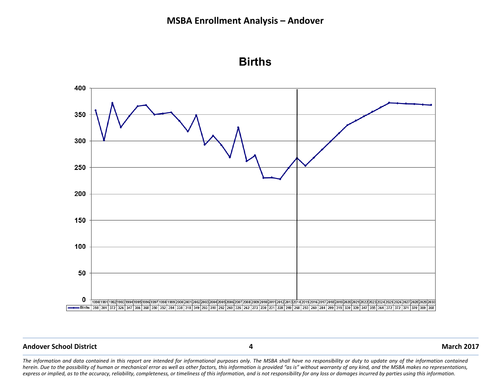



### **Andover School District 4 March 2017**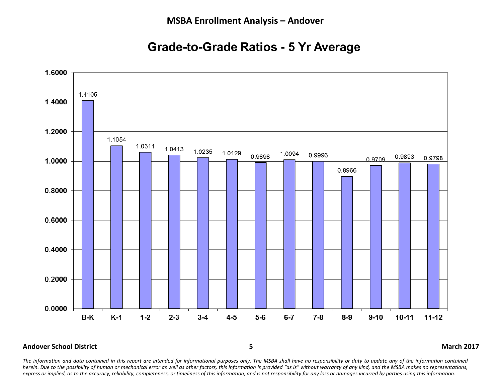# **Grade-to-Grade Ratios - 5 Yr Average**



#### **Andover School District 5 March 2017**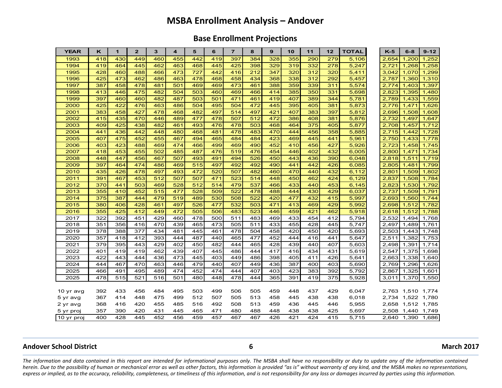## **MSBA Enrollment Analysis – Andover**

### **Base Enrollment Projections**

| <b>YEAR</b> | ĸ   | $\mathbf{1}$ | $\overline{2}$ | 3   | $\overline{\mathbf{4}}$ | 5   | 6   | $\overline{7}$ | 8   | 9   | 10  | 11  | 12  | <b>TOTAL</b> | $K-5$ | $6 - 8$ | $9 - 12$ |
|-------------|-----|--------------|----------------|-----|-------------------------|-----|-----|----------------|-----|-----|-----|-----|-----|--------------|-------|---------|----------|
| 1993        | 418 | 430          | 449            | 460 | 455                     | 442 | 419 | 397            | 384 | 328 | 355 | 290 | 279 | 5,106        | 2,654 | 1,200   | 1,252    |
| 1994        | 419 | 464          | 445            | 462 | 463                     | 468 | 445 | 425            | 398 | 329 | 319 | 332 | 278 | 5,247        | 2,721 | 1,268   | 1,258    |
| 1995        | 428 | 460          | 488            | 466 | 473                     | 727 | 442 | 416            | 212 | 347 | 320 | 312 | 320 | 5,411        | 3,042 | 1,070   | 1,299    |
| 1996        | 425 | 473          | 462            | 486 | 463                     | 478 | 468 | 458            | 434 | 368 | 338 | 312 | 292 | 5,457        | 2,787 | 1,360   | 1,310    |
| 1997        | 387 | 458          | 478            | 481 | 501                     | 469 | 469 | 473            | 461 | 388 | 359 | 339 | 311 | 5,574        | 2,774 | 1,403   | 1,397    |
| 1998        | 413 | 446          | 475            | 482 | 504                     | 503 | 460 | 469            | 466 | 414 | 385 | 350 | 331 | 5,698        | 2,823 | 1,395   | 1,480    |
| 1999        | 397 | 460          | 460            | 482 | 487                     | 503 | 501 | 471            | 461 | 419 | 407 | 389 | 344 | 5,781        | 2,789 | 1,433   | 1,559    |
| 2000        | 425 | 422          | 476            | 463 | 486                     | 504 | 495 | 504            | 472 | 445 | 395 | 405 | 381 | 5,873        | 2,776 | 1,471   | 1,626    |
| 2001        | 383 | 458          | 427            | 478 | 468                     | 482 | 497 | 514            | 497 | 421 | 407 | 383 | 397 | 5,812        | 2,696 | 1,508   | 1,608    |
| 2002        | 415 | 435          | 470            | 446 | 489                     | 477 | 478 | 507            | 512 | 472 | 386 | 408 | 381 | 5,876        | 2,732 | 1,497   | 1,647    |
| 2003        | 409 | 425          | 438            | 482 | 461                     | 493 | 476 | 478            | 503 | 468 | 464 | 375 | 405 | 5,877        | 2,708 | 1,457   | 1,712    |
| 2004        | 441 | 436          | 442            | 448 | 480                     | 468 | 481 | 478            | 483 | 470 | 444 | 456 | 358 | 5,885        | 2,715 | 1,442   | 1,728    |
| 2005        | 407 | 475          | 452            | 455 | 467                     | 494 | 465 | 484            | 484 | 423 | 469 | 445 | 441 | 5,961        | 2,750 | 1,433   | 1,778    |
| 2006        | 403 | 423          | 488            | 469 | 474                     | 466 | 499 | 469            | 490 | 452 | 410 | 456 | 427 | 5,926        | 2,723 | 1,458   | 1,745    |
| 2007        | 418 | 453          | 455            | 502 | 485                     | 487 | 476 | 519            | 476 | 454 | 446 | 402 | 432 | 6,005        | 2,800 | 1,471   | 1,734    |
| 2008        | 448 | 447          | 456            | 467 | 507                     | 493 | 491 | 494            | 526 | 450 | 443 | 436 | 390 | 6,048        | 2,818 | 1,511   | 1,719    |
| 2009        | 397 | 464          | 474            | 486 | 469                     | 515 | 497 | 492            | 492 | 490 | 441 | 442 | 426 | 6,085        | 2,805 | 1,481   | 1,799    |
| 2010        | 435 | 426          | 478            | 497 | 493                     | 472 | 520 | 507            | 482 | 460 | 470 | 440 | 432 | 6,112        | 2,801 | 1,509   | 1,802    |
| 2011        | 391 | 467          | 453            | 512 | 507                     | 507 | 471 | 523            | 514 | 448 | 450 | 462 | 424 | 6,129        | 2,837 | 1,508   | 1,784    |
| 2012        | 370 | 441          | 503            | 469 | 528                     | 512 | 514 | 479            | 537 | 466 | 433 | 440 | 453 | 6,145        | 2,823 | 1,530   | 1,792    |
| 2013        | 355 | 410          | 452            | 515 | 477                     | 528 | 509 | 522            | 478 | 488 | 444 | 430 | 429 | 6,037        | 2,737 | 1,509   | 1,791    |
| 2014        | 375 | 387          | 444            | 479 | 519                     | 489 | 530 | 508            | 522 | 420 | 477 | 432 | 415 | 5,997        | 2,693 | 1,560   | 1,744    |
| 2015        | 380 | 406          | 428            | 461 | 497                     | 526 | 477 | 532            | 503 | 471 | 413 | 469 | 429 | 5,992        | 2,698 | 1,512   | 1,782    |
| 2016        | 355 | 425          | 412            | 449 | 472                     | 505 | 506 | 483            | 523 | 446 | 459 | 421 | 462 | 5,918        | 2,618 | 1,512   | 1,788    |
| 2017        | 322 | 392          | 451            | 429 | 460                     | 478 | 500 | 511            | 483 | 469 | 433 | 454 | 412 | 5,794        | 2,532 | 1,494   | 1,768    |
| 2018        | 351 | 356          | 416            | 470 | 439                     | 465 | 473 | 505            | 511 | 433 | 455 | 428 | 445 | 5,747        | 2,497 | 1,489   | 1,761    |
| 2019        | 378 | 388          | 377            | 434 | 481                     | 445 | 461 | 478            | 504 | 458 | 420 | 450 | 420 | 5,693        | 2,503 | 1,443   | 1,748    |
| 2020        | 357 | 418          | 412            | 393 | 444                     | 487 | 440 | 465            | 477 | 452 | 444 | 416 | 441 | 5,647        | 2,511 | 1,382   | 1,753    |
| 2021        | 379 | 395          | 443            | 429 | 402                     | 450 | 482 | 444            | 465 | 428 | 439 | 440 | 407 | 5,603        | 2,498 | 1,391   | 1,714    |
| 2022        | 401 | 419          | 419            | 462 | 439                     | 407 | 445 | 486            | 444 | 417 | 416 | 434 | 431 | 5,619        | 2,547 | 1,375   | 1,698    |
| 2023        | 422 | 443          | 444            | 436 | 473                     | 445 | 403 | 449            | 486 | 398 | 405 | 411 | 426 | 5,641        | 2,663 | 1,338   | 1,640    |
| 2024        | 444 | 467          | 470            | 463 | 446                     | 479 | 440 | 407            | 449 | 436 | 387 | 400 | 403 | 5,690        | 2,769 | 1,296   | 1,626    |
| 2025        | 466 | 491          | 495            | 489 | 474                     | 452 | 474 | 444            | 407 | 403 | 423 | 383 | 392 | 5,792        | 2,867 | 1,325   | 1,601    |
| 2025        | 478 | 515          | 521            | 516 | 501                     | 480 | 448 | 478            | 444 | 365 | 391 | 419 | 375 | 5,928        | 3,011 | 1,370   | 1,550    |
|             |     |              |                |     |                         |     |     |                |     |     |     |     |     |              |       |         |          |
| 10 yr avg   | 392 | 433          | 456            | 484 | 495                     | 503 | 499 | 506            | 505 | 459 | 448 | 437 | 429 | 6,047        | 2,763 | 1,510   | 1,774    |
| 5 yr avg    | 367 | 414          | 448            | 475 | 499                     | 512 | 507 | 505            | 513 | 458 | 445 | 438 | 438 | 6,018        | 2,734 | 1,522   | 1,780    |
| 2 yr avg    | 368 | 416          | 420            | 455 | 485                     | 516 | 492 | 508            | 513 | 459 | 436 | 445 | 446 | 5,955        | 2,658 | 1,512   | 1,785    |
| 5 yr proj   | 357 | 390          | 420            | 431 | 445                     | 465 | 471 | 480            | 488 | 448 | 438 | 438 | 425 | 5,697        | 2,508 | 1,440   | 1,749    |
| 10 yr proj  | 400 | 428          | 445            | 452 | 456                     | 459 | 457 | 467            | 467 | 426 | 421 | 424 | 415 | 5,715        | 2,640 | 1.390   | 1,686    |

#### **Andover School District 6 March 2017**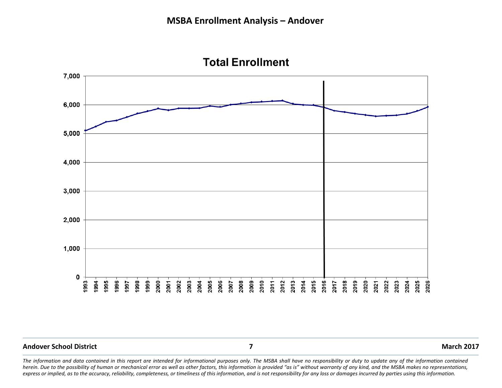

**Total Enrollment** 

#### **Andover School District 7 March 2017**